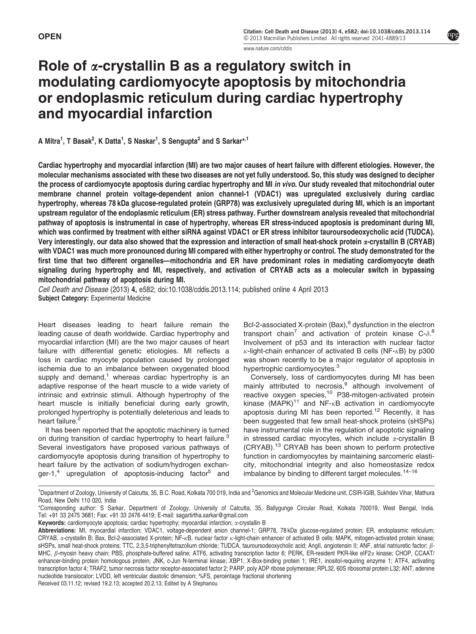www.nature.com/cddis

# Role of  $\alpha$ -crystallin B as a regulatory switch in modulating cardiomyocyte apoptosis by mitochondria or endoplasmic reticulum during cardiac hypertrophy and myocardial infarction

A Mitra<sup>1</sup>, T Basak<sup>2</sup>, K Datta<sup>1</sup>, S Naskar<sup>1</sup>, S Sengupta<sup>2</sup> and S Sarkar\*<sup>,1</sup>

Cardiac hypertrophy and myocardial infarction (MI) are two major causes of heart failure with different etiologies. However, the molecular mechanisms associated with these two diseases are not yet fully understood. So, this study was designed to decipher the process of cardiomyocyte apoptosis during cardiac hypertrophy and MI in vivo. Our study revealed that mitochondrial outer membrane channel protein voltage-dependent anion channel-1 (VDAC1) was upregulated exclusively during cardiac hypertrophy, whereas 78 kDa glucose-regulated protein (GRP78) was exclusively upregulated during MI, which is an important upstream regulator of the endoplasmic reticulum (ER) stress pathway. Further downstream analysis revealed that mitochondrial pathway of apoptosis is instrumental in case of hypertrophy, whereas ER stress-induced apoptosis is predominant during MI, which was confirmed by treatment with either siRNA against VDAC1 or ER stress inhibitor tauroursodeoxycholic acid (TUDCA). Very interestingly, our data also showed that the expression and interaction of small heat-shock protein  $\alpha$ -crystallin B (CRYAB) with VDAC1 was much more pronounced during MI compared with either hypertrophy or control. The study demonstrated for the first time that two different organelles—mitochondria and ER have predominant roles in mediating cardiomyocyte death signaling during hypertrophy and MI, respectively, and activation of CRYAB acts as a molecular switch in bypassing mitochondrial pathway of apoptosis during MI.

Cell Death and Disease (2013) 4, e582; doi:10.1038/cddis.2013.114; published online 4 April 2013 Subject Category: Experimental Medicine

Heart diseases leading to heart failure remain the leading cause of death worldwide. Cardiac hypertrophy and myocardial infarction (MI) are the two major causes of heart failure with differential genetic etiologies. MI reflects a loss in cardiac myocyte population caused by prolonged ischemia due to an imbalance between oxygenated blood supply and demand, $1$  whereas cardiac hypertrophy is an adaptive response of the heart muscle to a wide variety of intrinsic and extrinsic stimuli. Although hypertrophy of the heart muscle is initially beneficial during early growth, prolonged hypertrophy is potentially deleterious and leads to heart failure.

It has been reported that the apoptotic machinery is turned on during transition of cardiac hypertrophy to heart failure.<sup>3</sup> Several investigators have proposed various pathways of cardiomyocyte apoptosis during transition of hypertrophy to heart failure by the activation of sodium/hydrogen exchanger-1,<sup>4</sup> upregulation of apoptosis-inducing factor<sup>5</sup> and

Bcl-2-associated X-protein (Bax),<sup>6</sup> dysfunction in the electron transport chain<sup>7</sup> and activation of protein kinase  $C$ - $\delta$ .<sup>8</sup> Involvement of p53 and its interaction with nuclear factor  $\kappa$ -light-chain enhancer of activated B cells (NF- $\kappa$ B) by p300 was shown recently to be a major regulator of apoptosis in hypertrophic cardiomyocytes.<sup>3</sup>

Conversely, loss of cardiomyocytes during MI has been mainly attributed to necrosis,<sup>9</sup> although involvement of reactive oxygen species,<sup>10</sup> P38-mitogen-activated protein kinase (MAPK)<sup>11</sup> and NF- $\kappa$ B activation in cardiomyocyte apoptosis during MI has been reported.<sup>12</sup> Recently, it has been suggested that few small heat-shock proteins (sHSPs) have instrumental role in the regulation of apoptotic signaling in stressed cardiac myocytes, which include  $\alpha$ -crystallin B (CRYAB).<sup>13</sup> CRYAB has been shown to perform protective function in cardiomyocytes by maintaining sarcomeric elasticity, mitochondrial integrity and also homeostasize redox imbalance by binding to different target molecules. $14-16$ 

Received 03.11.12; revised 19.2.13; accepted 20.2.13; Edited by A Stephanou

<sup>&</sup>lt;sup>1</sup>Department of Zoology, University of Calcutta, 35, B.C. Road, Kolkata 700 019, India and <sup>2</sup>Genomics and Molecular Medicine unit, CSIR-IGIB, Sukhdev Vihar, Mathura Road, New Delhi 110 020, India

<sup>\*</sup>Corresponding author: S Sarkar, Department of Zoology, University of Calcutta, 35, Ballygunge Circular Road, Kolkata 700019, West Bengal, India. Tel: +91 33 2475 3681; Fax: +91 33 2476 4419; E-mail: sagartirtha.sarkar@gmail.com

Keywords: cardiomyocyte apoptosis; cardiac hypertrophy; myocardial infarction;  $\alpha$ -crystallin B

Abbreviations: MI, myocardial infarction; VDAC1, voltage-dependent anion channel-1; GRP78, 78 kDa glucose-regulated protein; ER, endoplasmic reticulum; CRYAB, x-crystallin B; Bax, Bcl-2-associated X-protein; NF-<sub>K</sub>B, nuclear factor k-light-chain enhancer of activated B cells; MAPK, mitogen-activated protein kinase; sHSPs, small heat-shock proteins; TTC, 2,3,5-triphenyltetrazolium chloride; TUDCA, tauroursodeoxycholic acid; AngII, angiotensin II; ANF, atrial natriuretic factor;  $\beta$ -MHC, β-myosin heavy chain; PBS, phosphate-buffered saline; ATF6, activating transcription factor 6; PERK, ER-resident PKR-like eIF2α kinase; CHOP, CCAAT/ enhancer-binding protein homologous protein; JNK, c-Jun N-terminal kinase; XBP1, X-Box-binding protein 1; IRE1, inositol-requiring enzyme 1; ATF4, activating transcription factor 4; TRAF2, tumor necrosis factor receptor-associated factor 2; PARP, poly ADP ribose polymerase; RPL32, 60S ribosomal protein L32; ANT, adenine nucleotide translocator; LVDD, left ventricular diastolic dimension; %FS, percentage fractional shortening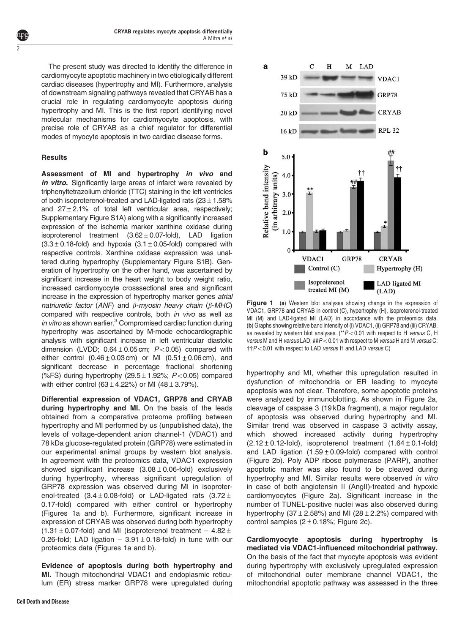The present study was directed to identify the difference in cardiomyocyte apoptotic machinery in two etiologically different cardiac diseases (hypertrophy and MI). Furthermore, analysis of downstream signaling pathways revealed that CRYAB has a crucial role in regulating cardiomyocyte apoptosis during hypertrophy and MI. This is the first report identifying novel molecular mechanisms for cardiomyocyte apoptosis, with precise role of CRYAB as a chief regulator for differential modes of myocyte apoptosis in two cardiac disease forms.

## Results

 $\angle$ 

Assessment of MI and hypertrophy in vivo and in vitro. Significantly large areas of infarct were revealed by triphenyltetrazolium chloride (TTC) staining in the left ventricles of both isoproterenol-treated and LAD-ligated rats  $(23 \pm 1.58\%)$ and  $27 \pm 2.1$ % of total left ventricular area, respectively; Supplementary Figure S1A) along with a significantly increased expression of the ischemia marker xanthine oxidase during isoproterenol treatment  $(3.62 \pm 0.07$ -fold), LAD ligation  $(3.3 \pm 0.18$ -fold) and hypoxia  $(3.1 \pm 0.05$ -fold) compared with respective controls. Xanthine oxidase expression was unaltered during hypertrophy (Supplementary Figure S1B). Generation of hypertrophy on the other hand, was ascertained by significant increase in the heart weight to body weight ratio, increased cardiomyocyte crosssectional area and significant increase in the expression of hypertrophy marker genes atrial natriuretic factor (ANF) and  $\beta$ -myosin heavy chain ( $\beta$ -MHC) compared with respective controls, both *in vivo* as well as in vitro as shown earlier. $3$  Compromised cardiac function during hypertrophy was ascertained by M-mode echocardiographic analysis with significant increase in left ventricular diastolic dimension (LVDD;  $0.64 \pm 0.05$  cm;  $P < 0.05$ ) compared with either control  $(0.46 \pm 0.03 \text{ cm})$  or MI  $(0.51 \pm 0.06 \text{ cm})$ , and significant decrease in percentage fractional shortening (%FS) during hypertrophy (29.5  $\pm$  1.92%; P < 0.05) compared with either control  $(63 \pm 4.22\%)$  or MI  $(48 \pm 3.79\%)$ .

Differential expression of VDAC1, GRP78 and CRYAB during hypertrophy and MI. On the basis of the leads obtained from a comparative proteome profiling between hypertrophy and MI performed by us (unpublished data), the levels of voltage-dependent anion channel-1 (VDAC1) and 78 kDa glucose-regulated protein (GRP78) were estimated in our experimental animal groups by western blot analysis. In agreement with the proteomics data, VDAC1 expression showed significant increase  $(3.08 \pm 0.06 \cdot 1)$  exclusively during hypertrophy, whereas significant upregulation of GRP78 expression was observed during MI in isoproterenol-treated  $(3.4 \pm 0.08 \text{-}$  fold) or LAD-ligated rats  $(3.72 \pm 1.00 \text{)}$ 0.17-fold) compared with either control or hypertrophy (Figures 1a and b). Furthermore, significant increase in expression of CRYAB was observed during both hypertrophy (1.31  $\pm$  0.07-fold) and MI (isoproterenol treatment – 4.82  $\pm$ 0.26-fold; LAD ligation  $-3.91 \pm 0.18$ -fold) in tune with our proteomics data (Figures 1a and b).

Evidence of apoptosis during both hypertrophy and MI. Though mitochondrial VDAC1 and endoplasmic reticulum (ER) stress marker GRP78 were upregulated during



Figure 1 (a) Western blot analyses showing change in the expression of VDAC1, GRP78 and CRYAB in control (C), hypertrophy (H), isoproterenol-treated MI (M) and LAD-ligated MI (LAD) in accordance with the proteomics data. (b) Graphs showing relative band intensity of (i) VDAC1, (ii) GRP78 and (iii) CRYAB, as revealed by western blot analyses.  $(*P<0.01$  with respect to H versus C, H versus M and H versus LAD;  $\#P<0.01$  with respect to M versus H and M versus C;  $\ddot{\tau}$  $\dot{\tau}$  $P$  < 0.01 with respect to LAD versus H and LAD versus C)

hypertrophy and MI, whether this upregulation resulted in dysfunction of mitochondria or ER leading to myocyte apoptosis was not clear. Therefore, some apoptotic proteins were analyzed by immunoblotting. As shown in Figure 2a, cleavage of caspase 3 (19 kDa fragment), a major regulator of apoptosis was observed during hypertrophy and MI. Similar trend was observed in caspase 3 activity assay, which showed increased activity during hypertrophy  $(2.12 \pm 0.12$ -fold), isoproterenol treatment  $(1.64 \pm 0.1$ -fold) and LAD ligation  $(1.59 \pm 0.09 \text{-}$  fold) compared with control (Figure 2b). Poly ADP ribose polymerase (PARP), another apoptotic marker was also found to be cleaved during hypertrophy and MI. Similar results were observed in vitro in case of both angiotensin II (AngII)-treated and hypoxic cardiomyocytes (Figure 2a). Significant increase in the number of TUNEL-positive nuclei was also observed during hypertrophy  $(37 \pm 2.58\%)$  and MI  $(28 \pm 2.2\%)$  compared with control samples  $(2 \pm 0.18\%;$  Figure 2c).

Cardiomyocyte apoptosis during hypertrophy is mediated via VDAC1-influenced mitochondrial pathway. On the basis of the fact that myocyte apoptosis was evident during hypertrophy with exclusively upregulated expression of mitochondrial outer membrane channel VDAC1, the mitochondrial apoptotic pathway was assessed in the three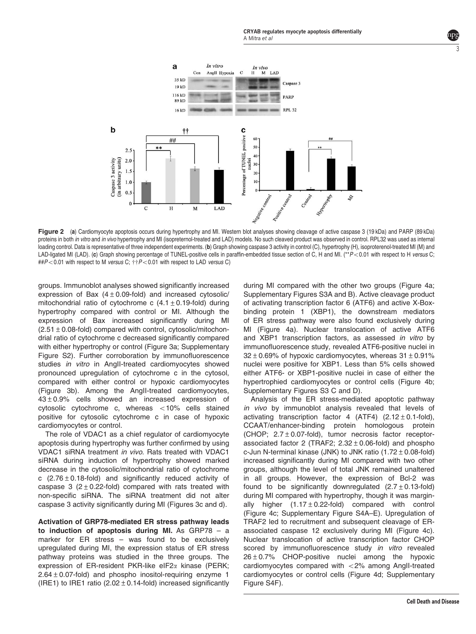

Figure 2 (a) Cardiomyocyte apoptosis occurs during hypertrophy and MI. Western blot analyses showing cleavage of active caspase 3 (19 kDa) and PARP (89 kDa) proteins in both in vitro and in vivo hypertrophy and MI (isopreternol-treated and LAD) models. No such cleaved product was observed in control. RPL32 was used as internal loading control. Data is representative of three independent experiments. (b) Graph showing caspase 3 activity in control (C), hypertrophy (H), isoproterenol-treated MI (M) and LAD-ligated MI (LAD). (c) Graph showing percentage of TUNEL-positive cells in paraffin-embedded tissue section of C, H and MI. (\*\*P<0.01 with respect to H versus C;  $\#P<0.01$  with respect to M versus C;  $\ddot{\dagger}P<0.01$  with respect to LAD versus C)

groups. Immunoblot analyses showed significantly increased expression of Bax  $(4 \pm 0.09$ -fold) and increased cytosolic/ mitochondrial ratio of cytochrome c  $(4.1 \pm 0.19$ -fold) during hypertrophy compared with control or MI. Although the expression of Bax increased significantly during MI  $(2.51 \pm 0.08$ -fold) compared with control, cytosolic/mitochondrial ratio of cytochrome c decreased significantly compared with either hypertrophy or control (Figure 3a; Supplementary Figure S2). Further corroboration by immunofluorescence studies in vitro in AngII-treated cardiomyocytes showed pronounced upregulation of cytochrome c in the cytosol, compared with either control or hypoxic cardiomyocytes (Figure 3b). Among the AngII-treated cardiomyocytes, 43±0.9% cells showed an increased expression of cytosolic cytochrome c, whereas  $<$  10% cells stained positive for cytosolic cytochrome c in case of hypoxic cardiomyocytes or control.

The role of VDAC1 as a chief regulator of cardiomyocyte apoptosis during hypertrophy was further confirmed by using VDAC1 siRNA treatment in vivo. Rats treated with VDAC1 siRNA during induction of hypertrophy showed marked decrease in the cytosolic/mitochondrial ratio of cytochrome c  $(2.76 \pm 0.18 \text{-}$  fold) and significantly reduced activity of caspase 3 ( $2 \pm 0.22$ -fold) compared with rats treated with non-specific siRNA. The siRNA treatment did not alter caspase 3 activity significantly during MI (Figures 3c and d).

Activation of GRP78-mediated ER stress pathway leads to induction of apoptosis during MI. As  $GRP78 - a$ marker for ER stress – was found to be exclusively upregulated during MI, the expression status of ER stress pathway proteins was studied in the three groups. The expression of ER-resident PKR-like eIF2 $\alpha$  kinase (PERK;  $2.64 \pm 0.07$ -fold) and phospho inositol-requiring enzyme 1 (IRE1) to IRE1 ratio  $(2.02 \pm 0.14$ -fold) increased significantly during MI compared with the other two groups (Figure 4a; Supplementary Figures S3A and B). Active cleavage product of activating transcription factor 6 (ATF6) and active X-Boxbinding protein 1 (XBP1), the downstream mediators of ER stress pathway were also found exclusively during MI (Figure 4a). Nuclear translocation of active ATF6 and XBP1 transcription factors, as assessed in vitro by immunofluorescence study, revealed ATF6-positive nuclei in  $32 \pm 0.69$ % of hypoxic cardiomyocytes, whereas  $31 \pm 0.91$ % nuclei were positive for XBP1. Less than 5% cells showed either ATF6- or XBP1-positive nuclei in case of either the hypertrophied cardiomyocytes or control cells (Figure 4b; Supplementary Figures S3 C and D).

Analysis of the ER stress-mediated apoptotic pathway in vivo by immunoblot analysis revealed that levels of activating transcription factor 4 (ATF4)  $(2.12 \pm 0.1\text{-fold})$ , CCAAT/enhancer-binding protein homologous protein (CHOP;  $2.7 \pm 0.07$ -fold), tumor necrosis factor receptorassociated factor 2 (TRAF2;  $2.32 \pm 0.06$ -fold) and phospho c-Jun N-terminal kinase (JNK) to JNK ratio  $(1.72 \pm 0.08$ -fold) increased significantly during MI compared with two other groups, although the level of total JNK remained unaltered in all groups. However, the expression of Bcl-2 was found to be significantly downregulated  $(2.7 \pm 0.13$ -fold) during MI compared with hypertrophy, though it was marginally higher  $(1.17 \pm 0.22$ -fold) compared with control (Figure 4c; Supplementary Figure S4A–E). Upregulation of TRAF2 led to recruitment and subsequent cleavage of ERassociated caspase 12 exclusively during MI (Figure 4c). Nuclear translocation of active transcription factor CHOP scored by immunofluorescence study in vitro revealed 26±0.7% CHOP-positive nuclei among the hypoxic cardiomyocytes compared with  $<$  2% among AngII-treated cardiomyocytes or control cells (Figure 4d; Supplementary Figure S4F).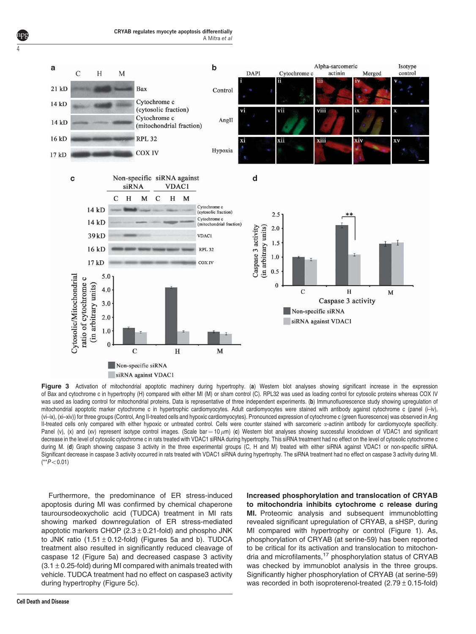

Figure 3 Activation of mitochondrial apoptotic machinery during hypertrophy. (a) Western blot analyses showing significant increase in the expression of Bax and cytochrome c in hypertrophy (H) compared with either MI (M) or sham control (C). RPL32 was used as loading control for cytosolic proteins whereas COX IV was used as loading control for mitochondrial proteins. Data is representative of three independent experiments. (b) Immunofluorescence study showing upregulation of mitochondrial apoptotic marker cytochrome c in hypertrophic cardiomyocytes. Adult cardiomyocytes were stained with antibody against cytochrome c (panel (i–iv), (vi–ix), (xi–xiv)) for three groups (Control, Ang II-treated cells and hypoxic cardiomyocytes). Pronounced expression of cytochrome c (green fluorescence) was observed in Ang II-treated cells only compared with either hypoxic or untreated control. Cells were counter stained with sarcomeric a-actinin antibody for cardiomyocyte specificity. Panel (v), (x) and (xv) represent isotype control images. (Scale bar = 10  $\mu$ m) (c) Western blot analyses showing successful knockdown of VDAC1 and significant decrease in the level of cytosolic cytochrome c in rats treated with VDAC1 siRNA during hypertrophy. This siRNA treatment had no effect on the level of cytosolic cytochrome c during M. (d) Graph showing caspase 3 activity in the three experimental groups (C, H and M) treated with either siRNA against VDAC1 or non-specific siRNA. Significant decrease in caspase 3 activity occurred in rats treated with VDAC1 siRNA during hypertrophy. The siRNA treatment had no effect on caspase 3 activity during MI.  $(**P<0.01)$ 

Furthermore, the predominance of ER stress-induced apoptosis during MI was confirmed by chemical chaperone tauroursodeoxycholic acid (TUDCA) treatment in MI rats showing marked downregulation of ER stress-mediated apoptotic markers CHOP  $(2.3 \pm 0.21$ -fold) and phospho JNK to JNK ratio  $(1.51 \pm 0.12$ -fold) (Figures 5a and b). TUDCA treatment also resulted in significantly reduced cleavage of caspase 12 (Figure 5a) and decreased caspase 3 activity  $(3.1 \pm 0.25$ -fold) during MI compared with animals treated with vehicle. TUDCA treatment had no effect on caspase3 activity during hypertrophy (Figure 5c).

Increased phosphorylation and translocation of CRYAB to mitochondria inhibits cytochrome c release during MI. Proteomic analysis and subsequent immunoblotting revealed significant upregulation of CRYAB, a sHSP, during MI compared with hypertrophy or control (Figure 1). As, phosphorylation of CRYAB (at serine-59) has been reported to be critical for its activation and translocation to mitochondria and microfilaments,<sup>17</sup> phosphorylation status of CRYAB was checked by immunoblot analysis in the three groups. Significantly higher phosphorylation of CRYAB (at serine-59) was recorded in both isoproterenol-treated  $(2.79 \pm 0.15$ -fold)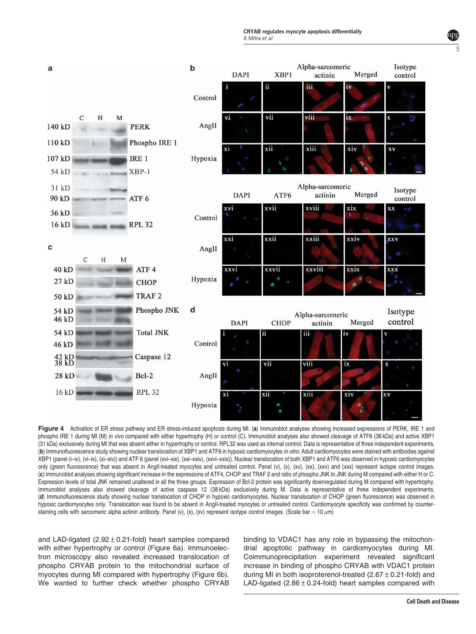

Figure 4 Activation of ER stress pathway and ER stress-induced apoptosis during MI. (a) Immunoblot analyses showing increased expressions of PERK, IRE 1 and phospho IRE 1 during MI (M) in vivo compared with either hypertrophy (H) or control (C). Immunoblot analyses also showed cleavage of ATF6 (36 kDa) and active XBP1 (31 kDa) exclusively during MI that was absent either in hypertrophy or control. RPL32 was used as internal control. Data is representative of three independent experiments. (b) Immunofluorescence study showing nuclear translocation of XBP1 and ATF6 in hypoxic cardiomyocytes in vitro. Adult cardiomyocytes were stained with antibodies against XBP1 (panel (i–iv), (vi–ix), (xi–xiv)) and ATF 6 (panel (xvi–xix), (xxi–xxiv), (xxvi–xxix)). Nuclear translocation of both XBP1 and ATF6 was observed in hypoxic cardiomyocytes only (green fluorescence) that was absent in Angli-treated myocytes and untreated control. Panel (v), (x), (xx), (xx), (xxv) and (xxx) represent isotype control images. (c) Immunoblot analyses showing significant increase in the expressions of ATF4, CHOP and TRAF 2 and ratio of phospho JNK to JNK during M compared with either H or C. Expression levels of total JNK remained unaltered in all the three groups. Expression of Bcl-2 protein was significantly downregulated during M compared with hypertrophy. Immunoblot analyses also showed cleavage of active caspase 12 (38 kDa) exclusively during M. Data is representative of three independent experiments. (d) Immunofluorescence study showing nuclear translocation of CHOP in hypoxic cardiomyocytes. Nuclear translocation of CHOP (green fluorescence) was observed in hypoxic cardiomyocytes only. Translocation was found to be absent in AngII-treated myocytes or untreated control. Cardiomyocyte specificity was confirmed by counterstaining cells with sarcomeric alpha actinin antibody. Panel (v), (x), (xv) represent isotype control images. (Scale bar = 10  $\mu$ m)

and LAD-ligated  $(2.92 \pm 0.21$ -fold) heart samples compared with either hypertrophy or control (Figure 6a). Immunoelectron microscopy also revealed increased translocation of phospho CRYAB protein to the mitochondrial surface of myocytes during MI compared with hypertrophy (Figure 6b). We wanted to further check whether phospho CRYAB

binding to VDAC1 has any role in bypassing the mitochondrial apoptotic pathway in cardiomyocytes during MI. Coimmunoprecipitation experiment revealed significant increase in binding of phospho CRYAB with VDAC1 protein during MI in both isoproterenol-treated  $(2.67 \pm 0.21$ -fold) and LAD-ligated  $(2.86 \pm 0.24$ -fold) heart samples compared with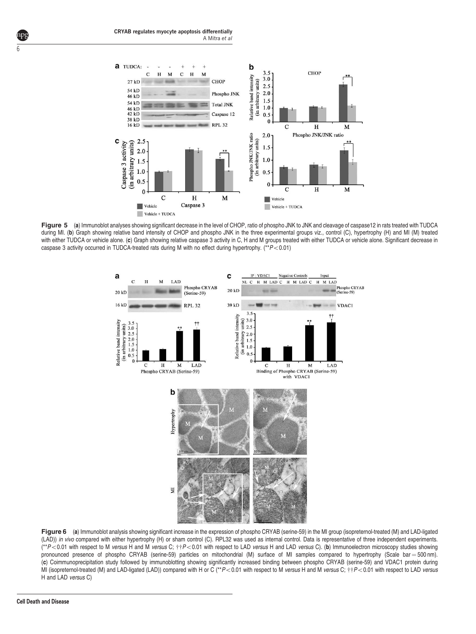

Figure 5 (a) Immunoblot analyses showing significant decrease in the level of CHOP, ratio of phospho JNK to JNK and cleavage of caspase12 in rats treated with TUDCA during MI. (b) Graph showing relative band intensity of CHOP and phospho JNK in the three experimental groups viz., control (C), hypertrophy (H) and MI (M) treated with either TUDCA or vehicle alone. (c) Graph showing relative caspase 3 activity in C, H and M groups treated with either TUDCA or vehicle alone. Significant decrease in caspase 3 activity occurred in TUDCA-treated rats during M with no effect during hypertrophy. (\*\* $P$  < 0.01)



Figure 6 (a) Immunoblot analysis showing significant increase in the expression of phospho CRYAB (serine-59) in the MI group (isopreternol-treated (M) and LAD-ligated (LAD)) in vivo compared with either hypertrophy (H) or sham control (C). RPL32 was used as internal control. Data is representative of three independent experiments.  $(*P<0.01$  with respect to M versus H and M versus C;  $**P<0.01$  with respect to LAD versus H and LAD versus C). (b) Immunoelectron microscopy studies showing pronounced presence of phospho CRYAB (serine-59) particles on mitochondrial (M) surface of MI samples compared to hypertrophy (Scale bar = 500 nm). (c) Coimmunoprecipitation study followed by immunoblotting showing significantly increased binding between phospho CRYAB (serine-59) and VDAC1 protein during MI (isopreternol-treated (M) and LAD-ligated (LAD)) compared with H or C (\*\*P<0.01 with respect to M versus H and M versus C; ++P<0.01 with respect to LAD versus H and LAD versus C)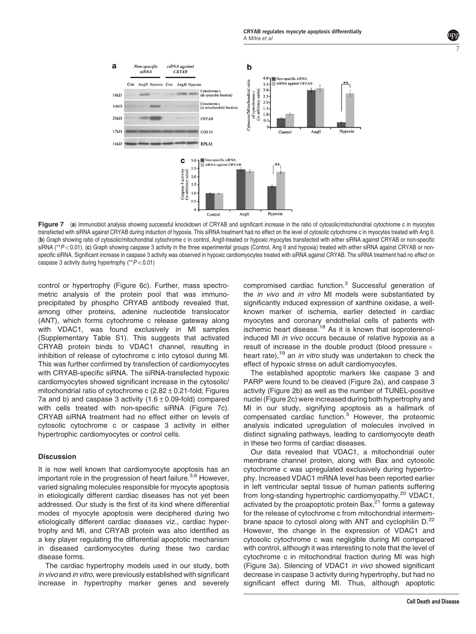

Figure 7 (a) Immunoblot analysis showing successful knockdown of CRYAB and significant increase in the ratio of cytosolic/mitochondrial cytochrome c in myocytes transfected with siRNA against CRYAB during induction of hypoxia. This siRNA treatment had no effect on the level of cytosolic cytochrome c in myocytes treated with Ang II. (b) Graph showing ratio of cytosolic/mitochondrial cytochrome c in control, AngII-treated or hypoxic myocytes transfected with either siRNA against CRYAB or non-specific siRNA ( $*P$ <0.01). (c) Graph showing caspase 3 activity in the three experimental groups (Control, Ang II and hypoxia) treated with either siRNA against CRYAB or nonspecific siRNA. Significant increase in caspase 3 activity was observed in hypoxic cardiomyocytes treated with siRNA against CRYAB. The siRNA treatment had no effect on caspase 3 activity during hypertrophy  $(*P<0.01)$ 

control or hypertrophy (Figure 6c). Further, mass spectrometric analysis of the protein pool that was immunoprecipitated by phospho CRYAB antibody revealed that, among other proteins, adenine nucleotide translocator (ANT), which forms cytochrome c release gateway along with VDAC1, was found exclusively in MI samples (Supplementary Table S1). This suggests that activated CRYAB protein binds to VDAC1 channel, resulting in inhibition of release of cytochrome c into cytosol during MI. This was further confirmed by transfection of cardiomyocytes with CRYAB-specific siRNA. The siRNA-transfected hypoxic cardiomyocytes showed significant increase in the cytosolic/ mitochondrial ratio of cytochrome c  $(2.82 \pm 0.21$ -fold; Figures 7a and b) and caspase 3 activity  $(1.6 \pm 0.09 \cdot 1)$  compared with cells treated with non-specific siRNA (Figure 7c). CRYAB siRNA treatment had no effect either on levels of cytosolic cytochrome c or caspase 3 activity in either hypertrophic cardiomyocytes or control cells.

### **Discussion**

It is now well known that cardiomyocyte apoptosis has an important role in the progression of heart failure.<sup>3,6</sup> However, varied signaling molecules responsible for myocyte apoptosis in etiologically different cardiac diseases has not yet been addressed. Our study is the first of its kind where differential modes of myocyte apoptosis were deciphered during two etiologically different cardiac diseases viz., cardiac hypertrophy and MI, and CRYAB protein was also identified as a key player regulating the differential apoptotic mechanism in diseased cardiomyocytes during these two cardiac disease forms.

The cardiac hypertrophy models used in our study, both in vivo and in vitro, were previously established with significant increase in hypertrophy marker genes and severely

compromised cardiac function.<sup>3</sup> Successful generation of the *in vivo* and *in vitro* MI models were substantiated by significantly induced expression of xanthine oxidase, a wellknown marker of ischemia, earlier detected in cardiac myocytes and coronary endothelial cells of patients with ischemic heart disease.<sup>18</sup> As it is known that isoproterenolinduced MI in vivo occurs because of relative hypoxia as a result of increase in the double product (blood pressure  $\times$ heart rate),<sup>19</sup> an *in vitro* study was undertaken to check the effect of hypoxic stress on adult cardiomyocytes.

The established apoptotic markers like caspase 3 and PARP were found to be cleaved (Figure 2a), and caspase 3 activity (Figure 2b) as well as the number of TUNEL-positive nuclei (Figure 2c) were increased during both hypertrophy and MI in our study, signifying apoptosis as a hallmark of compensated cardiac function.<sup>3</sup> However, the proteomic analysis indicated upregulation of molecules involved in distinct signaling pathways, leading to cardiomyocyte death in these two forms of cardiac diseases.

Our data revealed that VDAC1, a mitochondrial outer membrane channel protein, along with Bax and cytosolic cytochrome c was upregulated exclusively during hypertrophy. Increased VDAC1 mRNA level has been reported earlier in left ventricular septal tissue of human patients suffering from long-standing hypertrophic cardiomyopathy.<sup>20</sup> VDAC1, activated by the proapoptotic protein Bax, $^{21}$  forms a gateway for the release of cytochrome c from mitochondrial intermembrane space to cytosol along with ANT and cyclophilin  $D^{22}$ However, the change in the expression of VDAC1 and cytosolic cytochrome c was negligible during MI compared with control, although it was interesting to note that the level of cytochrome c in mitochondrial fraction during MI was high (Figure 3a). Silencing of VDAC1 in vivo showed significant decrease in caspase 3 activity during hypertrophy, but had no significant effect during MI. Thus, although apoptotic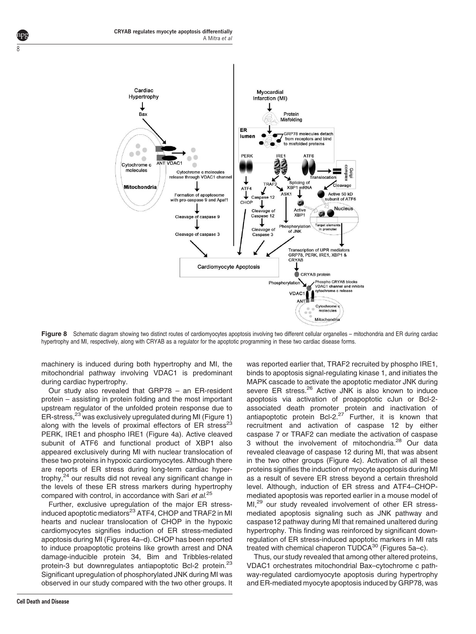

Figure 8 Schematic diagram showing two distinct routes of cardiomyocytes apoptosis involving two different cellular organelles – mitochondria and ER during cardiac hypertrophy and MI, respectively, along with CRYAB as a regulator for the apoptotic programming in these two cardiac disease forms.

machinery is induced during both hypertrophy and MI, the mitochondrial pathway involving VDAC1 is predominant during cardiac hypertrophy.

Our study also revealed that GRP78 – an ER-resident protein – assisting in protein folding and the most important upstream regulator of the unfolded protein response due to ER-stress,<sup>23</sup> was exclusively upregulated during MI (Figure 1) along with the levels of proximal effectors of  $ER$  stress<sup>23</sup> PERK, IRE1 and phospho IRE1 (Figure 4a). Active cleaved subunit of ATF6 and functional product of XBP1 also appeared exclusively during MI with nuclear translocation of these two proteins in hypoxic cardiomyocytes. Although there are reports of ER stress during long-term cardiac hypertrophy,<sup>24</sup> our results did not reveal any significant change in the levels of these ER stress markers during hypertrophy compared with control, in accordance with Sari et al.<sup>25</sup>

Further, exclusive upregulation of the major ER stressinduced apoptotic mediators<sup>23</sup> ATF4, CHOP and TRAF2 in MI hearts and nuclear translocation of CHOP in the hypoxic cardiomyocytes signifies induction of ER stress-mediated apoptosis during MI (Figures 4a–d). CHOP has been reported to induce proapoptotic proteins like growth arrest and DNA damage-inducible protein 34, Bim and Tribbles-related protein-3 but downregulates antiapoptotic Bcl-2 protein.<sup>23</sup> Significant upregulation of phosphorylated JNK during MI was observed in our study compared with the two other groups. It MAPK cascade to activate the apoptotic mediator JNK during severe ER stress.<sup>26</sup> Active JNK is also known to induce apoptosis via activation of proapoptotic cJun or Bcl-2 associated death promoter protein and inactivation of antiapoptotic protein Bcl-2.<sup>27</sup> Further, it is known that recruitment and activation of caspase 12 by either caspase 7 or TRAF2 can mediate the activation of caspase 3 without the involvement of mitochondria.<sup>28</sup> Our data revealed cleavage of caspase 12 during MI, that was absent in the two other groups (Figure 4c). Activation of all these proteins signifies the induction of myocyte apoptosis during MI as a result of severe ER stress beyond a certain threshold level. Although, induction of ER stress and ATF4–CHOPmediated apoptosis was reported earlier in a mouse model of MI.<sup>29</sup> our study revealed involvement of other ER stressmediated apoptosis signaling such as JNK pathway and caspase12 pathway during MI that remained unaltered during hypertrophy. This finding was reinforced by significant downregulation of ER stress-induced apoptotic markers in MI rats treated with chemical chaperon TUDCA<sup>30</sup> (Figures 5a-c).

was reported earlier that, TRAF2 recruited by phospho IRE1, binds to apoptosis signal-regulating kinase 1, and initiates the

Thus, our study revealed that among other altered proteins, VDAC1 orchestrates mitochondrial Bax–cytochrome c pathway-regulated cardiomyocyte apoptosis during hypertrophy and ER-mediated myocyte apoptosis induced by GRP78, was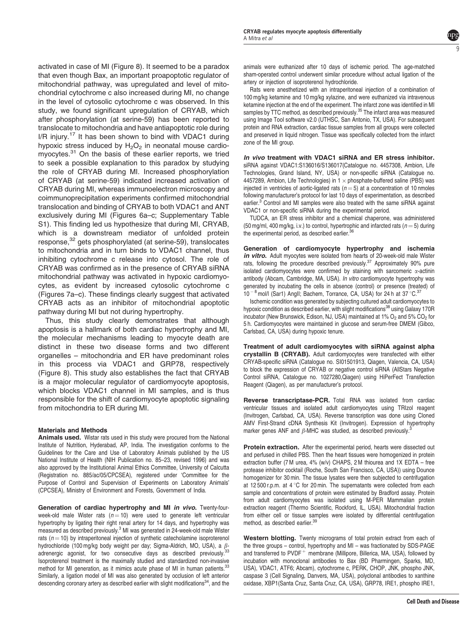activated in case of MI (Figure 8). It seemed to be a paradox that even though Bax, an important proapoptotic regulator of mitochondrial pathway, was upregulated and level of mitochondrial cytochrome c also increased during MI, no change in the level of cytosolic cytochrome c was observed. In this study, we found significant upregulation of CRYAB, which after phosphorylation (at serine-59) has been reported to translocate to mitochondria and have antiapoptotic role during  $I/R$  injury.<sup>17</sup> It has been shown to bind with VDAC1 during hypoxic stress induced by  $H_2O_2$  in neonatal mouse cardiomyocytes.<sup>31</sup> On the basis of these earlier reports, we tried to seek a possible explanation to this paradox by studying the role of CRYAB during MI. Increased phosphorylation of CRYAB (at serine-59) indicated increased activation of CRYAB during MI, whereas immunoelectron microscopy and coimmunoprecipitation experiments confirmed mitochondrial translocation and binding of CRYAB to both VDAC1 and ANT exclusively during MI (Figures 6a–c; Supplementary Table S1). This finding led us hypothesize that during MI, CRYAB, which is a downstream mediator of unfolded protein response,<sup>32</sup> gets phosphorylated (at serine-59), translocates to mitochondria and in turn binds to VDAC1 channel, thus inhibiting cytochrome c release into cytosol. The role of CRYAB was confirmed as in the presence of CRYAB siRNA mitochondrial pathway was activated in hypoxic cardiomyocytes, as evident by increased cytosolic cytochrome c (Figures 7a–c). These findings clearly suggest that activated CRYAB acts as an inhibitor of mitochondrial apoptotic pathway during MI but not during hypertrophy.

Thus, this study clearly demonstrates that although apoptosis is a hallmark of both cardiac hypertrophy and MI, the molecular mechanisms leading to myocyte death are distinct in these two disease forms and two different organelles – mitochondria and ER have predominant roles in this process via VDAC1 and GRP78, respectively (Figure 8). This study also establishes the fact that CRYAB is a major molecular regulator of cardiomyocyte apoptosis, which blocks VDAC1 channel in MI samples, and is thus responsible for the shift of cardiomyocyte apoptotic signaling from mitochondria to ER during MI.

#### Materials and Methods

Animals used. Wistar rats used in this study were procured from the National Institute of Nutrition, Hyderabad, AP, India. The investigation conforms to the Guidelines for the Care and Use of Laboratory Animals published by the US National Institute of Health (NIH Publication no. 85–23, revised 1996) and was also approved by the Institutional Animal Ethics Committee, University of Calcutta (Registration no. 885/ac/05/CPCSEA), registered under 'Committee for the Purpose of Control and Supervision of Experiments on Laboratory Animals' (CPCSEA), Ministry of Environment and Forests, Government of India.

Generation of cardiac hypertrophy and MI in vivo. Twenty-fourweek-old male Wister rats ( $n = 10$ ) were used to generate left ventricular hypertrophy by ligating their right renal artery for 14 days, and hypertrophy was measured as described previously.<sup>3</sup> MI was generated in 24-week-old male Wister rats ( $n = 10$ ) by intraperitoneal injection of synthetic catecholamine isoproterenol hydrochloride (100 mg/kg body weight per day; Sigma-Aldrich, MO, USA), a  $\beta$ adrenergic agonist, for two consecutive days as described previously.<sup>33</sup> Isoproterenol treatment is the maximally studied and standardized non-invasive method for MI generation, as it mimics acute phase of MI in human patients.<sup>33</sup> Similarly, a ligation model of MI was also generated by occlusion of left anterior descending coronary artery as described earlier with slight modifications<sup>34</sup>, and the

animals were euthanized after 10 days of ischemic period. The age-matched sham-operated control underwent similar procedure without actual ligation of the artery or injection of isoproterenol hydrochloride.

9

Rats were anesthetized with an intraperitoneal injection of a combination of 100 mg/kg ketamine and 10 mg/kg xylazine, and were euthanized via intravenous ketamine injection at the end of the experiment. The infarct zone was identified in MI samples by TTC method, as described previously.<sup>35</sup> The infarct area was measured using Image Tool software v2.0 (UTHSC, San Antonio, TX, USA). For subsequent protein and RNA extraction, cardiac tissue samples from all groups were collected and preserved in liquid nitrogen. Tissue was specifically collected from the infarct zone of the MI group.

In vivo treatment with VDAC1 siRNA and ER stress inhibitor. siRNA against VDAC1:S136016/S136017(Catalogue no. 4457308, Ambion, Life Technologies, Grand Island, NY, USA) or non-specific siRNA (Catalogue no. 4457289, Ambion, Life Technologies) in 1  $\times$  phosphate-buffered saline (PBS) was injected in ventricles of aortic-ligated rats ( $n = 5$ ) at a concentration of 10 nmoles following manufacturer's protocol for last 10 days of experimentation, as described earlier.<sup>3</sup> Control and MI samples were also treated with the same siRNA against VDAC1 or non-specific siRNA during the experimental period.

TUDCA, an ER stress inhibitor and a chemical chaperone, was administered (50 mg/ml, 400 mg/kg, i.v.) to control, hypertrophic and infarcted rats ( $n = 5$ ) during the experimental period, as described earlier.<sup>3</sup>

Generation of cardiomyocyte hypertrophy and ischemia in vitro. Adult myocytes were isolated from hearts of 20-week-old male Wister rats, following the procedure described previously.<sup>37</sup> Approximately 90% pure isolated cardiomyocytes were confirmed by staining with sarcomeric  $\alpha$ -actinin antibody (Abcam, Cambridge, MA, USA). In vitro cardiomyocyte hypertrophy was generated by incubating the cells in absence (control) or presence (treated) of  $10^{-8}$  mol/l (Sar1) AngII; Bachem, Torrance, CA, USA) for 24 h at 37 °C.<sup>37</sup>

Ischemic condition was generated by subjecting cultured adult cardiomyocytes to hypoxic condition as described earlier, with slight modifications<sup>38</sup> using Galaxy 170R incubator (New Brunswick, Edison, NJ, USA) maintained at 1%  $O_2$  and 5%  $CO_2$  for 5 h. Cardiomyocytes were maintained in glucose and serum-free DMEM (Gibco, Carlsbad, CA, USA) during hypoxic tenure.

Treatment of adult cardiomyocytes with siRNA against alpha crystallin B (CRYAB). Adult cardiomyocytes were transfected with either CRYAB-specific siRNA (Catalogue no. SI01501913, Qiagen, Valencia, CA, USA) to block the expression of CRYAB or negative control siRNA (AllStars Negative Control siRNA, Catalogue no. 1027280,Qiagen) using HiPerFect Transfection Reagent (Qiagen), as per manufacturer's protocol.

Reverse transcriptase-PCR. Total RNA was isolated from cardiac ventricular tissues and isolated adult cardiomyocytes using TRIzol reagent (Invitrogen, Carlsbad, CA, USA). Reverse transcription was done using Cloned AMV First-Strand cDNA Synthesis Kit (Invitrogen). Expression of hypertrophy marker genes ANF and  $\beta$ -MHC was studied, as described previously.

Protein extraction. After the experimental period, hearts were dissected out and perfused in chilled PBS. Then the heart tissues were homogenized in protein extraction buffer (7 M urea, 4% (w/v) CHAPS, 2 M thiourea and 1X EDTA – free protease inhibitor cocktail (Roche, South San Francisco, CA, USA)) using Dounce homogenizer for 30 min. The tissue lysates were then subjected to centrifugation at 12 500 r.p.m. at 4  $\degree$ C for 20 min. The supernatants were collected from each sample and concentrations of protein were estimated by Bradford assay. Protein from adult cardiomyocytes was isolated using M-PER Mammalian protein extraction reagent (Thermo Scientific, Rockford, IL, USA). Mitochondrial fraction from either cell or tissue samples were isolated by differential centrifugation method, as described earlier.<sup>39</sup>

Western blotting. Twenty micrograms of total protein extract from each of the three groups – control, hypertrophy and MI – was fractionated by SDS-PAGE and transferred to  $PVDF$  membrane (Millipore, Billerica, MA, USA), followed by incubation with monoclonal antibodies to Bax (BD Pharmingen, Sparks, MD, USA), VDAC1, ATF6; Abcam), cytochrome c, PERK, CHOP, JNK, phospho JNK, caspase 3 (Cell Signaling, Danvers, MA, USA), polyclonal antibodies to xanthine oxidase, XBP1(Santa Cruz, Santa Cruz, CA, USA), GRP78, IRE1, phospho IRE1,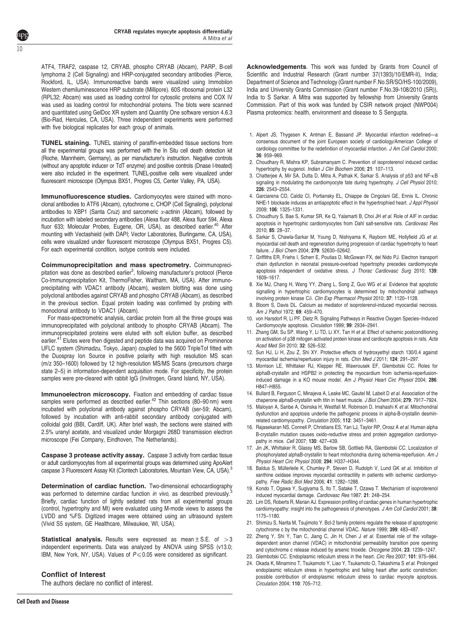ATF4, TRAF2, caspase 12, CRYAB, phospho CRYAB (Abcam), PARP, B-cell lymphoma 2 (Cell Signaling) and HRP-conjugated secondary antibodies (Pierce, Rockford, IL, USA). Immunoreactive bands were visualized using Immobilon Western chemiluminescence HRP substrate (Millipore). 60S ribosomal protein L32 (RPL32; Abcam) was used as loading control for cytosolic proteins and COX IV was used as loading control for mitochondrial proteins. The blots were scanned and quantitated using GelDoc XR system and Quantity One software version 4.6.3 (Bio-Rad, Hercules, CA, USA). Three independent experiments were performed with five biological replicates for each group of animals.

10

TUNEL staining. TUNEL staining of paraffin-embedded tissue sections from all the experimental groups was performed with the In Situ cell death detection kit (Roche, Mannheim, Germany), as per manufacturer's instruction. Negative controls (without any apoptotic inducer or TdT enzyme) and positive controls (Dnase I-treated) were also included in the experiment. TUNEL-positive cells were visualized under fluorescent microscope (Olympus BX51, Progres C5, Center Valley, PA, USA).

Immunofluorescence studies. Cardiomyocytes were stained with monoclonal antibodies to ATF6 (Abcam), cytochrome c, CHOP (Cell Signaling), polyclonal antibodies to XBP1 (Santa Cruz) and sarcomeric  $\alpha$ -actinin (Abcam), followed by incubation with labeled secondary antibodies (Alexa fluor 488, Alexa fluor 594, Alexa fluor 633; Molecular Probes, Eugene, OR, USA), as described earlier.<sup>40</sup> After mounting with Vectashield (with DAPI; Vector Laboratories, Burlingame, CA, USA), cells were visualized under fluorescent microscope (Olympus BX51, Progres C5). For each experimental condition, isotype controls were included.

Coimmunoprecipitation and mass spectrometry. Coimmunoprecipitation was done as described earlier<sup>3</sup>, following manufacturer's protocol (Pierce Co-Immunoprecipitation Kit, ThermoFisher, Waltham, MA, USA). After immunoprecipitating with VDAC1 antibody (Abcam), western blotting was done using polyclonal antibodies against CRYAB and phospho CRYAB (Abcam), as described in the previous section. Equal protein loading was confirmed by probing with monoclonal antibody to VDAC1 (Abcam).

For mass-spectrometric analysis, cardiac protein from all the three groups was immunoprecipitated with polyclonal antibody to phospho CRYAB (Abcam). The immunoprecipitated proteins were eluted with soft elution buffer, as described earlier.<sup>41</sup> Elutes were then digested and peptide data was acquired on Prominence UFLC system (Shimadzu, Tokyo, Japan) coupled to the 5600 TripleTof fitted with the Duospray Ion Source in positive polarity with high resolution MS scan (m/z 350–1600) followed by 12 high-resolution MS/MS Scans (precursors charge state 2–5) in information-dependent acquisition mode. For specificity, the protein samples were pre-cleared with rabbit IgG (Invitrogen, Grand Island, NY, USA).

Immunoelectron microscopy. Fixation and embedding of cardiac tissue samples were performed as described earlier.<sup>42</sup> Thin sections (80–90 nm) were incubated with polyclonal antibody against phospho CRYAB (ser-59; Abcam), followed by incubation with anti-rabbit secondary antibody conjugated with colloidal gold (BBI, Cardiff, UK). After brief wash, the sections were stained with 2.5% uranyl acetate, and visualized under Morgagni 268D transmission electron microscope (Fei Company, Eindhoven, The Netherlands).

Caspase 3 protease activity assay. Caspase 3 activity from cardiac tissue or adult cardiomyocytes from all experimental groups was determined using ApoAlert caspase 3 Fluorescent Assay Kit (Clontech Laboratories, Mountain View, CA, USA).<sup>3</sup>

Determination of cardiac function. Two-dimensional echocardiography was performed to determine cardiac function in vivo, as described previously. Briefly, cardiac function of lightly sedated rats from all experimental groups (control, hypertrophy and MI) were evaluated using M-mode views to assess the LVDD and %FS. Digitized images were obtained using an ultrasound system (Vivid S5 system, GE Healthcare, Milwaukee, WI, USA).

**Statistical analysis.** Results were expressed as mean  $\pm$  S.E. of  $>3$ independent experiments. Data was analyzed by ANOVA using SPSS (v13.0; IBM, New York, NY, USA). Values of  $P \le 0.05$  were considered as significant.

### Conflict of Interest

The authors declare no conflict of interest.

- 1. Alpert JS, Thygesen K, Antman E, Bassand JP. Myocardial infarction redefined—a consensus document of the joint European society of cardiology/American College of cardiology committee for the redefinition of myocardial infarction. J Am Coll Cardiol 2000: 36: 959–969.
- 2. Choudhary R, Mishra KP, Subramanyam C. Prevention of isoproterenol induced cardiac hypertrophy by eugenol. Indian J Clin Biochem 2006; 21: 107–113.
- 3. Chatterjee A, Mir SA, Dutta D, Mitra A, Pathak K, Sarkar S. Analysis of p53 and NF-KB signaling in modulating the cardiomyocyte fate during hypertrophy. J Cell Physiol 2010; 226: 2543–2554.
- 4. Garciarena CD, Caldiz CI, Portiansky EL, Chiappe de Cingolani GE, Ennis IL. Chronic NHE-1 blockade induces an antiapoptotic effect in the hypertrophied heart. J Appl Physiol 2009; 106: 1325–1331.
- 5. Choudhury S, Bae S, Kumar SR, Ke Q, Yalamarti B, Choi JH et al. Role of AIF in cardiac apoptosis in hypertrophic cardiomyocytes from Dahl salt-sensitive rats. Cardiovasc Res 2010; 85: 28–37.
- 6. Sarkar S, Chawla-Sarkar M, Young D, Nishiyama K, Rayborn ME, Hollyfield JG et al. myocardial cell death and regeneration during progression of cardiac hypertrophy to heart failure. J Biol Chem 2004; 279: 52630–52642.
- 7. Griffiths ER, Friehs I, Scherr E, Poutias D, McGowan FX, del Nido PJ. Electron transport chain dysfunction in neonatal pressure-overload hypertrophy precedes cardiomyocyte apoptosis independent of oxidative stress. J Thorac Cardiovasc Surg 2010; 139: 1609–1617.
- 8. Xie MJ, Chang H, Wang YY, Zhang L, Song Z, Guo WG et al. Evidence that apoptotic signalling in hypertrophic cardiomyocytes is determined by mitochondrial pathways involving protein kinase Co. Clin Exp Pharmacol Physiol 2010; 37: 1120-1128.
- 9. Bloom S, Davis DL. Calcium as mediator of isoproterenol-induced myocardial necrosis. Am J Pathol 1972; 69: 459–470.
- 10. von Harsdorf R, Li PF, Dietz R. Signaling Pathways in Reactive Oxygen Species–Induced Cardiomyocyte apoptosis. Circulation 1999; 99: 2934–2941.
- 11. Zhang GM, Su SP, Wang Y, Li TD, Li XY, Tan H et al. Effect of ischemic postconditioning on activation of p38 mitogen activated protein kinase and cardiocyte apoptosis in rats. Acta Acad Med Sin 2010; 32: 526–532.
- 12. Sun HJ, Li H, Zou Z, Shi XY. Protective effects of hydroxyethyl starch 130/0.4 against myocardial ischemia/reperfusion injury in rats. Chin Med J 2011; 124: 291–297.
- 13. Morrison LE, Whittaker RJ, Klepper RE, Wawrousek EF, Glembotski CC. Roles for alphaB-crystallin and HSPB2 in protecting the myocardium from ischemia-reperfusioninduced damage in a KO mouse model. Am J Physiol Heart Circ Physiol 2004; 286: H847–H855.
- 14. Bullard B, Ferguson C, Minajeva A, Leake MC, Gautel M, Labeit D et al. Association of the chaperone alphaB-crystallin with titin in heart muscle. J Biol Chem 2004; 279: 7917–7924.
- 15. Maloyan A, Sanbe A, Osinska H, Westfall M, Robinson D, Imahashi K et al. Mitochondrial dysfunction and apoptosis underlie the pathogenic process in alpha-B-crystallin desminrelated cardiomyopathy. Circulation 2005; 112: 3451–3461.
- 16. Rajasekaran NS, Connell P, Christians ES, Yan LJ, Taylor RP, Orosz A et al. Human alpha B-crystallin mutation causes oxido-reductive stress and protein aggregation cardiomyopathy in mice. Cell 2007; 130: 427–439.
- 17. Jin JK, Whittaker R, Glassy MS, Barlow SB, Gottlieb RA, Glembotski CC. Localization of phosphorylated alphaB-crystallin to heart mitochondria during ischemia-reperfusion. Am J Physiol Heart Circ Physiol 2008; 294: H337–H344.
- 18. Baldus S, Müllerleile K, Chumley P, Steven D, Rudolph V, Lund GK et al. Inhibition of xanthine oxidase improves myocardial contractility in patients with ischemic cardiomyopathy. Free Radic Biol Med 2006; 41: 1282–1288.
- 19. Kondo T, Ogawa Y, Sugiyama S, Ito T, Satake T, Ozawa T. Mechanism of isoproterenol induced myocardial damage. Cardiovasc Res 1987; 21: 248–254.
- 20. Lim DS, Roberts R, Marian AJ. Expression profiling of cardiac genes in human hypertrophic cardiomyopathy: insight into the pathogenesis of phenotypes. J Am Coll Cardiol 2001; 38: 1175–1180.
- 21. Shimizu S, Narita M, Tsujimoto Y. Bcl-2 family proteins regulate the release of apoptogenic cytochrome c by the mitochondrial channel VDAC. Nature 1999; 399: 483–487.
- 22. Zheng Y, Shi Y, Tian C, Jiang C, Jin H, Chen J et al. Essential role of the voltagedependent anion channel (VDAC) in mitochondrial permeability transition pore opening and cytochrome c release induced by arsenic trioxide. Oncogene 2004; 23: 1239–1247.
- 23. Glembotski CC. Endoplasmic reticulum stress in the heart. Circ Res 2007; 101: 975–984.
- 24. Okada K, Minamino T, Tsukamoto Y, Liao Y, Tsukamoto O, Takashima S et al. Prolonged endoplasmic reticulum stress in hypertrophic and failing heart after aortic constriction: possible contribution of endoplasmic reticulum stress to cardiac myocyte apoptosis. Circulation 2004; 110: 705–712.